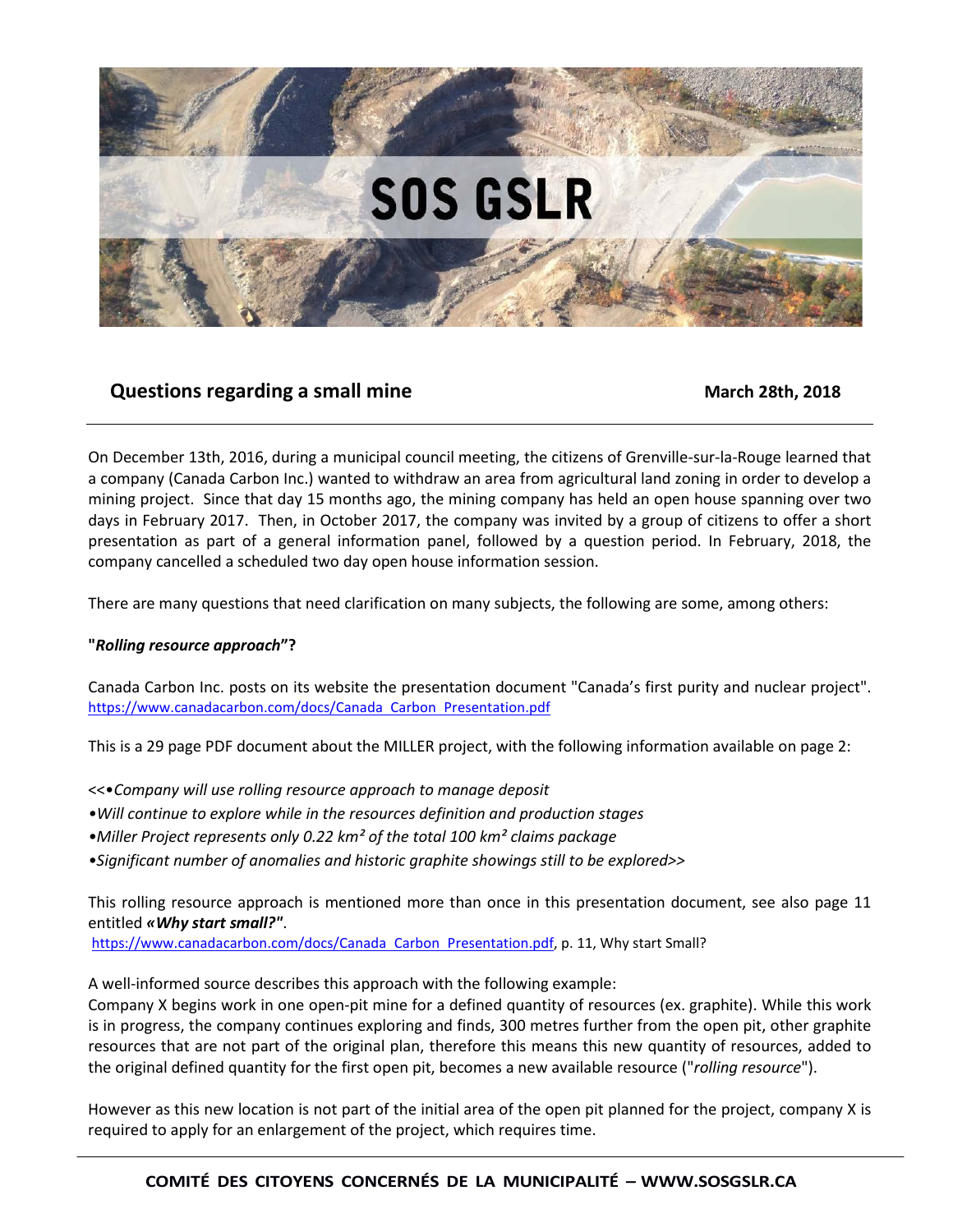

# **Questions regarding a small mine March 28th, 2018** March 28th, 2018

On December 13th, 2016, during a municipal council meeting, the citizens of Grenville-sur-la-Rouge learned that a company (Canada Carbon Inc.) wanted to withdraw an area from agricultural land zoning in order to develop a mining project. Since that day 15 months ago, the mining company has held an open house spanning over two days in February 2017. Then, in October 2017, the company was invited by a group of citizens to offer a short presentation as part of a general information panel, followed by a question period. In February, 2018, the company cancelled a scheduled two day open house information session.

There are many questions that need clarification on many subjects, the following are some, among others:

# **"***Rolling resource approach***"?**

Canada Carbon Inc. posts on its website the presentation document "Canada's first purity and nuclear project". https://www.canadacarbon.com/docs/Canada Carbon Presentation.pdf

This is a 29 page PDF document about the MILLER project, with the following information available on page 2:

<<•*Company will use rolling resource approach to manage deposit*

- *•Will continue to explore while in the resources definition and production stages*
- *•Miller Project represents only 0.22 km² of the total 100 km² claims package*
- *•Significant number of anomalies and historic graphite showings still to be explored>>*

This rolling resource approach is mentioned more than once in this presentation document, see also page 11 entitled *«Why start small?"*.

https://www.canadacarbon.com/docs/Canada Carbon Presentation.pdf, p. 11, Why start Small?

A well-informed source describes this approach with the following example:

Company X begins work in one open-pit mine for a defined quantity of resources (ex. graphite). While this work is in progress, the company continues exploring and finds, 300 metres further from the open pit, other graphite resources that are not part of the original plan, therefore this means this new quantity of resources, added to the original defined quantity for the first open pit, becomes a new available resource ("*rolling resource*").

However as this new location is not part of the initial area of the open pit planned for the project, company X is required to apply for an enlargement of the project, which requires time.